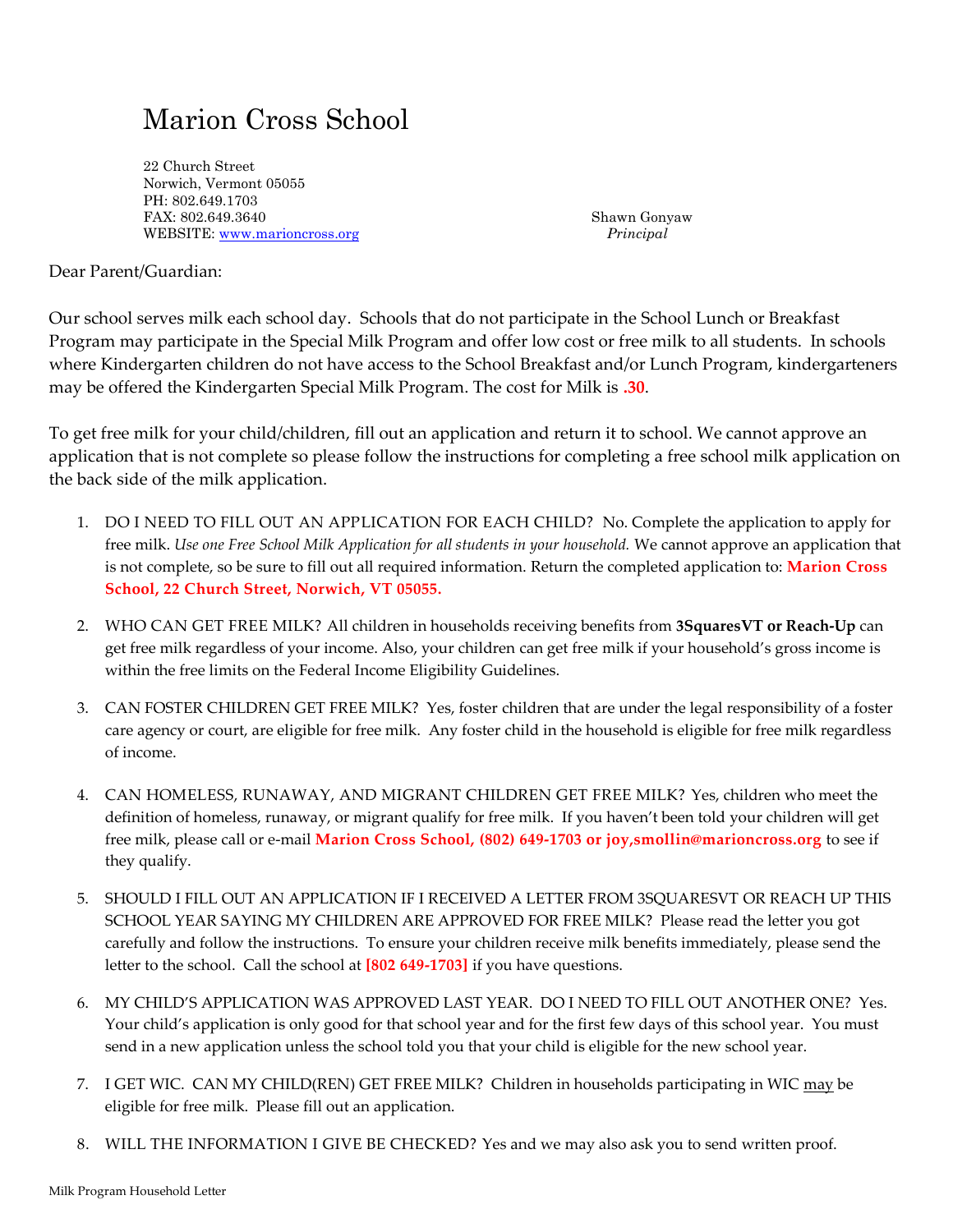## Marion Cross School

22 Church Street Norwich, Vermont 05055 PH: 802.649.1703 FAX: 802.649.3640 Shawn Gonyaw WEBSITE[: www.marioncross.org](http://www.marioncross.org/) *Principal*

Dear Parent/Guardian:

Our school serves milk each school day. Schools that do not participate in the School Lunch or Breakfast Program may participate in the Special Milk Program and offer low cost or free milk to all students. In schools where Kindergarten children do not have access to the School Breakfast and/or Lunch Program, kindergarteners may be offered the Kindergarten Special Milk Program. The cost for Milk is **.30**.

To get free milk for your child/children, fill out an application and return it to school. We cannot approve an application that is not complete so please follow the instructions for completing a free school milk application on the back side of the milk application.

- 1. DO I NEED TO FILL OUT AN APPLICATION FOR EACH CHILD? No. Complete the application to apply for free milk. *Use one Free School Milk Application for all students in your household.* We cannot approve an application that is not complete, so be sure to fill out all required information. Return the completed application to: **Marion Cross School, 22 Church Street, Norwich, VT 05055.**
- 2. WHO CAN GET FREE MILK? All children in households receiving benefits from **3SquaresVT or Reach-Up** can get free milk regardless of your income. Also, your children can get free milk if your household's gross income is within the free limits on the Federal Income Eligibility Guidelines.
- 3. CAN FOSTER CHILDREN GET FREE MILK? Yes, foster children that are under the legal responsibility of a foster care agency or court, are eligible for free milk. Any foster child in the household is eligible for free milk regardless of income.
- 4. CAN HOMELESS, RUNAWAY, AND MIGRANT CHILDREN GET FREE MILK? Yes, children who meet the definition of homeless, runaway, or migrant qualify for free milk. If you haven't been told your children will get free milk, please call or e-mail **Marion Cross School, (802) 649-1703 or joy,smollin@marioncross.org** to see if they qualify.
- 5. SHOULD I FILL OUT AN APPLICATION IF I RECEIVED A LETTER FROM 3SQUARESVT OR REACH UP THIS SCHOOL YEAR SAYING MY CHILDREN ARE APPROVED FOR FREE MILK? Please read the letter you got carefully and follow the instructions. To ensure your children receive milk benefits immediately, please send the letter to the school. Call the school at **[802 649-1703]** if you have questions.
- 6. MY CHILD'S APPLICATION WAS APPROVED LAST YEAR. DO I NEED TO FILL OUT ANOTHER ONE? Yes. Your child's application is only good for that school year and for the first few days of this school year. You must send in a new application unless the school told you that your child is eligible for the new school year.
- 7. I GET WIC. CAN MY CHILD(REN) GET FREE MILK? Children in households participating in WIC may be eligible for free milk. Please fill out an application.
- 8. WILL THE INFORMATION I GIVE BE CHECKED? Yes and we may also ask you to send written proof.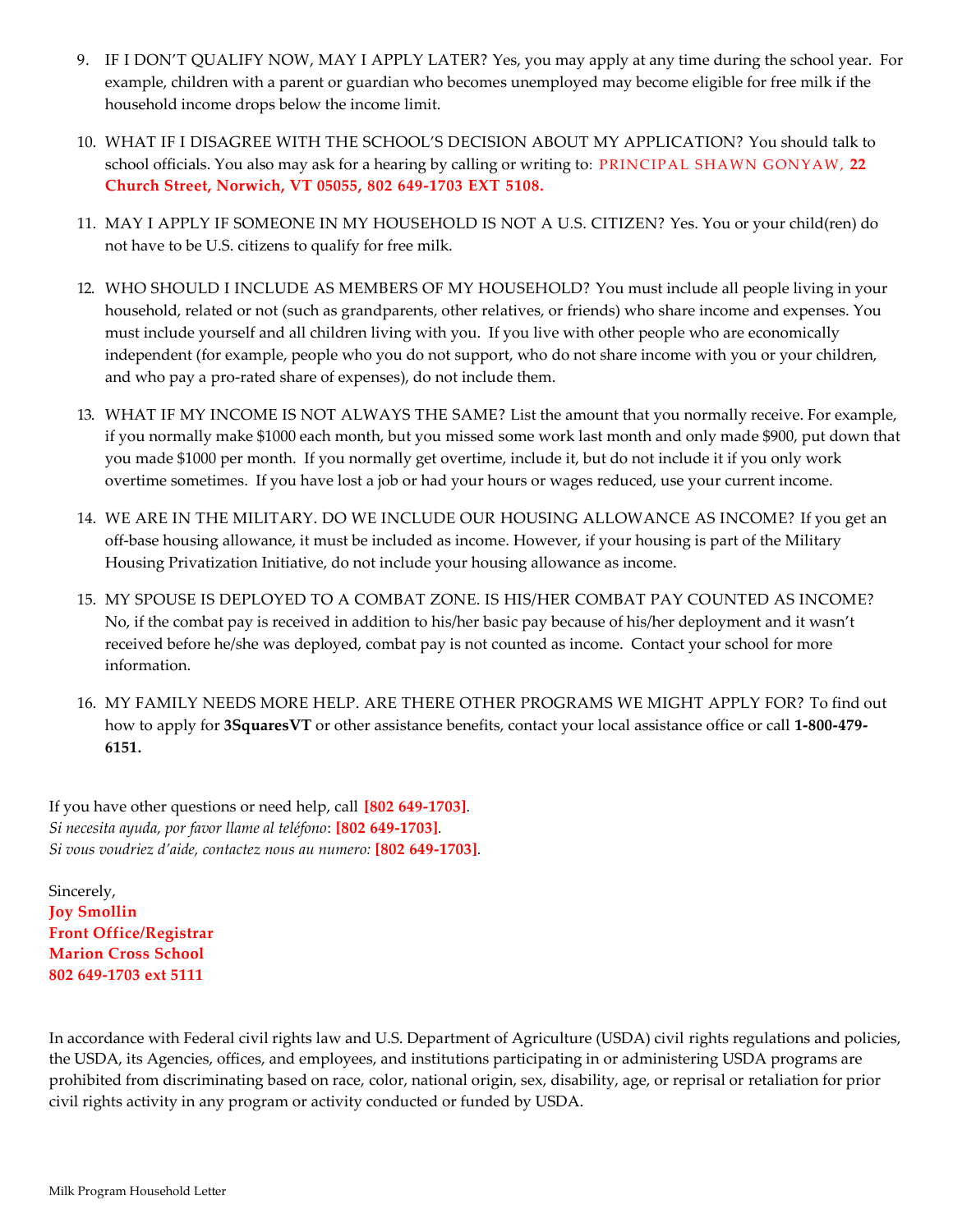- 9. IF I DON'T QUALIFY NOW, MAY I APPLY LATER? Yes, you may apply at any time during the school year. For example, children with a parent or guardian who becomes unemployed may become eligible for free milk if the household income drops below the income limit.
- 10. WHAT IF I DISAGREE WITH THE SCHOOL'S DECISION ABOUT MY APPLICATION? You should talk to school officials. You also may ask for a hearing by calling or writing to: PRINCIPAL SHAWN GONYAW, 22 **Church Street, Norwich, VT 05055, 802 649-1703 EXT 5108.**
- 11. MAY I APPLY IF SOMEONE IN MY HOUSEHOLD IS NOT A U.S. CITIZEN? Yes. You or your child(ren) do not have to be U.S. citizens to qualify for free milk.
- 12. WHO SHOULD I INCLUDE AS MEMBERS OF MY HOUSEHOLD? You must include all people living in your household, related or not (such as grandparents, other relatives, or friends) who share income and expenses. You must include yourself and all children living with you. If you live with other people who are economically independent (for example, people who you do not support, who do not share income with you or your children, and who pay a pro-rated share of expenses), do not include them.
- 13. WHAT IF MY INCOME IS NOT ALWAYS THE SAME? List the amount that you normally receive. For example, if you normally make \$1000 each month, but you missed some work last month and only made \$900, put down that you made \$1000 per month. If you normally get overtime, include it, but do not include it if you only work overtime sometimes. If you have lost a job or had your hours or wages reduced, use your current income.
- 14. WE ARE IN THE MILITARY. DO WE INCLUDE OUR HOUSING ALLOWANCE AS INCOME? If you get an off-base housing allowance, it must be included as income. However, if your housing is part of the Military Housing Privatization Initiative, do not include your housing allowance as income.
- 15. MY SPOUSE IS DEPLOYED TO A COMBAT ZONE. IS HIS/HER COMBAT PAY COUNTED AS INCOME? No, if the combat pay is received in addition to his/her basic pay because of his/her deployment and it wasn't received before he/she was deployed, combat pay is not counted as income. Contact your school for more information.
- 16. MY FAMILY NEEDS MORE HELP. ARE THERE OTHER PROGRAMS WE MIGHT APPLY FOR? To find out how to apply for **3SquaresVT** or other assistance benefits, contact your local assistance office or call **1-800-479- 6151.**

If you have other questions or need help, call **[802 649-1703]***. Si necesita ayuda, por favor llame al teléfono*: **[802 649-1703]***. Si vous voudriez d'aide, contactez nous au numero:* **[802 649-1703]***.*

Sincerely, **Joy Smollin Front Office/Registrar Marion Cross School 802 649-1703 ext 5111**

In accordance with Federal civil rights law and U.S. Department of Agriculture (USDA) civil rights regulations and policies, the USDA, its Agencies, offices, and employees, and institutions participating in or administering USDA programs are prohibited from discriminating based on race, color, national origin, sex, disability, age, or reprisal or retaliation for prior civil rights activity in any program or activity conducted or funded by USDA.